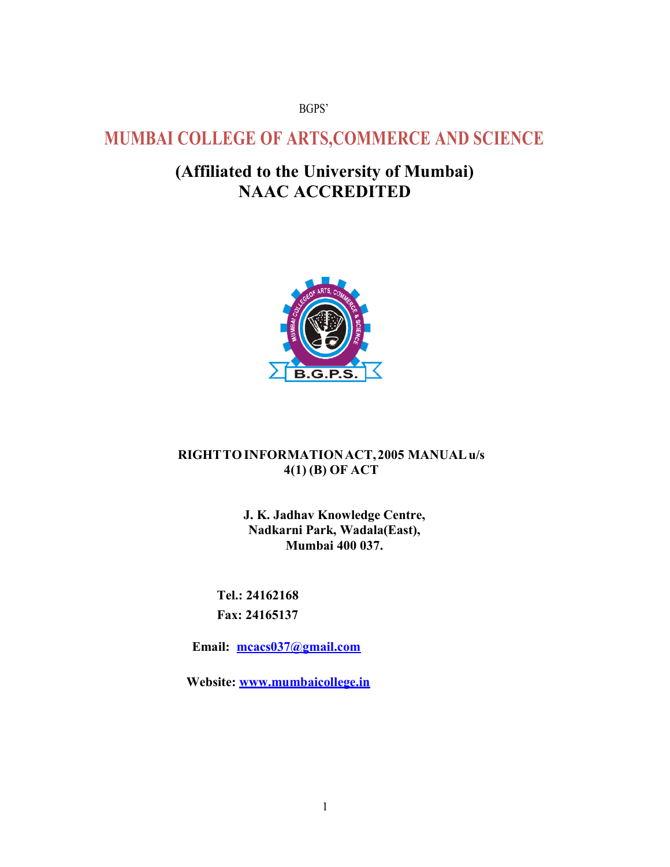#### BGPS'

# MUMBAI COLLEGE OF ARTS,COMMERCE AND SCIENCE AND

# (Affiliated to the University of Mumbai) NAAC ACCREDITED



### RIGHT TO INFORMATION ACT, 2005 MANUAL u/s 4(1) (B) OF ACT

J. K. Jadhav Knowledge Centre, Nadkarni Park, Wadala(East), Park, Mumbai 400 037.

Tel.: 24162168 Fax: 24165137 24165137

Email: mcacs037@gmail.com

Email: mcacs037@gmail.com<br>Website: www.mumbaicollege.in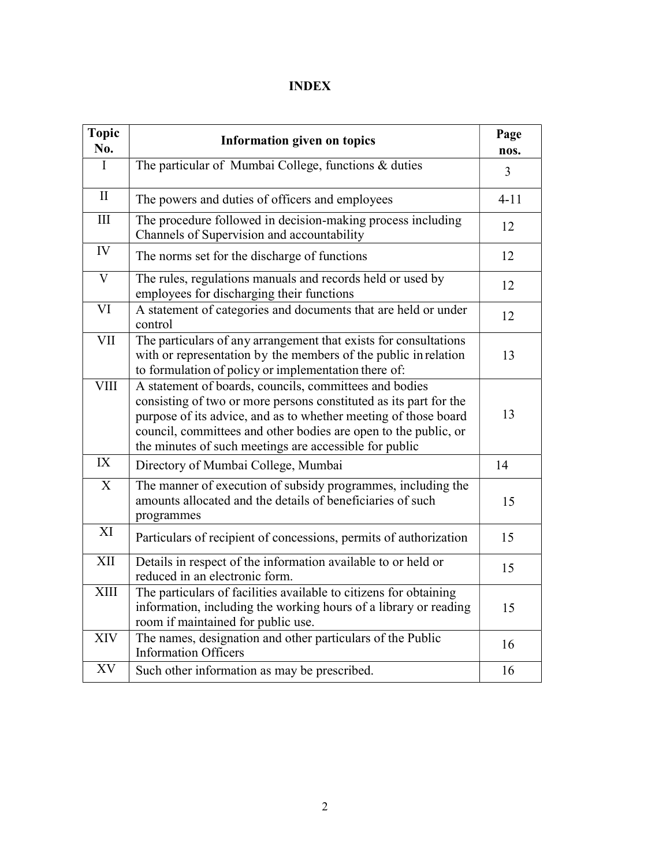# INDEX

| <b>Topic</b><br>No.     | <b>Information given on topics</b>                                                                                                                                                                                                                                                                                          | Page<br>nos. |
|-------------------------|-----------------------------------------------------------------------------------------------------------------------------------------------------------------------------------------------------------------------------------------------------------------------------------------------------------------------------|--------------|
| $\mathbf I$             | The particular of Mumbai College, functions & duties                                                                                                                                                                                                                                                                        | 3            |
| $\mathbf{I}$            | The powers and duties of officers and employees                                                                                                                                                                                                                                                                             | $4 - 11$     |
| $\rm III$               | The procedure followed in decision-making process including<br>Channels of Supervision and accountability                                                                                                                                                                                                                   | 12           |
| ${\rm IV}$              | The norms set for the discharge of functions                                                                                                                                                                                                                                                                                | 12           |
| $\overline{\mathrm{V}}$ | The rules, regulations manuals and records held or used by<br>employees for discharging their functions                                                                                                                                                                                                                     | 12           |
| VI                      | A statement of categories and documents that are held or under<br>control                                                                                                                                                                                                                                                   | 12           |
| VII                     | The particulars of any arrangement that exists for consultations<br>with or representation by the members of the public in relation<br>to formulation of policy or implementation there of:                                                                                                                                 | 13           |
| <b>VIII</b>             | A statement of boards, councils, committees and bodies<br>consisting of two or more persons constituted as its part for the<br>purpose of its advice, and as to whether meeting of those board<br>council, committees and other bodies are open to the public, or<br>the minutes of such meetings are accessible for public | 13           |
| IX                      | Directory of Mumbai College, Mumbai                                                                                                                                                                                                                                                                                         | 14           |
| X                       | The manner of execution of subsidy programmes, including the<br>amounts allocated and the details of beneficiaries of such<br>programmes                                                                                                                                                                                    | 15           |
| XI                      | Particulars of recipient of concessions, permits of authorization                                                                                                                                                                                                                                                           | 15           |
| XII                     | Details in respect of the information available to or held or<br>reduced in an electronic form.                                                                                                                                                                                                                             | 15           |
| <b>XIII</b>             | The particulars of facilities available to citizens for obtaining<br>information, including the working hours of a library or reading<br>room if maintained for public use.                                                                                                                                                 | 15           |
| XIV                     | The names, designation and other particulars of the Public<br><b>Information Officers</b>                                                                                                                                                                                                                                   | 16           |
| XV                      | Such other information as may be prescribed.                                                                                                                                                                                                                                                                                | 16           |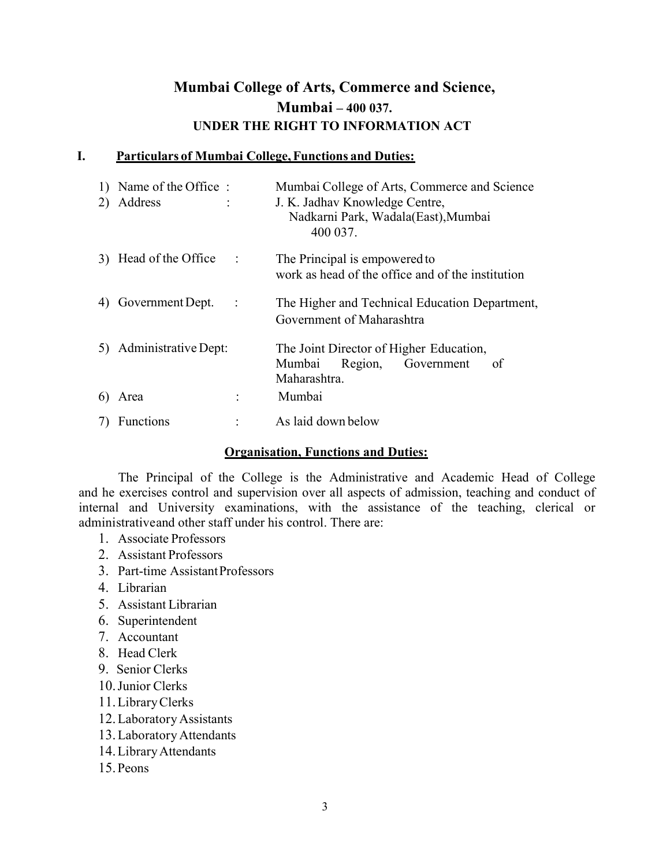# Mumbai College of Arts, Commerce and Science, Mumbai – 400 037. UNDER THE RIGHT TO INFORMATION ACT

### I. Particulars of Mumbai College, Functions and Duties:

| 2) | 1) Name of the Office:<br>Address |           | Mumbai College of Arts, Commerce and Science<br>J. K. Jadhav Knowledge Centre,<br>Nadkarni Park, Wadala(East), Mumbai<br>400 037. |  |
|----|-----------------------------------|-----------|-----------------------------------------------------------------------------------------------------------------------------------|--|
| 3) | Head of the Office                | $\sim$ 1  | The Principal is empowered to<br>work as head of the office and of the institution                                                |  |
| 4) | Government Dept.                  | $\sim$ 1. | The Higher and Technical Education Department,<br>Government of Maharashtra                                                       |  |
|    | 5) Administrative Dept:           |           | The Joint Director of Higher Education,<br>Mumbai Region, Government<br>of<br>Maharashtra.                                        |  |
| 6) | Area                              | ÷         | Mumbai                                                                                                                            |  |
|    | Functions                         |           | As laid down below                                                                                                                |  |

#### Organisation, Functions and Duties:

The Principal of the College is the Administrative and Academic Head of College and he exercises control and supervision over all aspects of admission, teaching and conduct of internal and University examinations, with the assistance of the teaching, clerical or administrative and other staff under his control. There are:

- 1. Associate Professors
- 2. Assistant Professors
- 3. Part-time Assistant Professors
- 4. Librarian
- 5. Assistant Librarian
- 6. Superintendent
- 7. Accountant
- 8. Head Clerk
- 9. Senior Clerks
- 10.Junior Clerks
- 11.Library Clerks
- 12.Laboratory Assistants
- 13.Laboratory Attendants
- 14.Library Attendants
- 15. Peons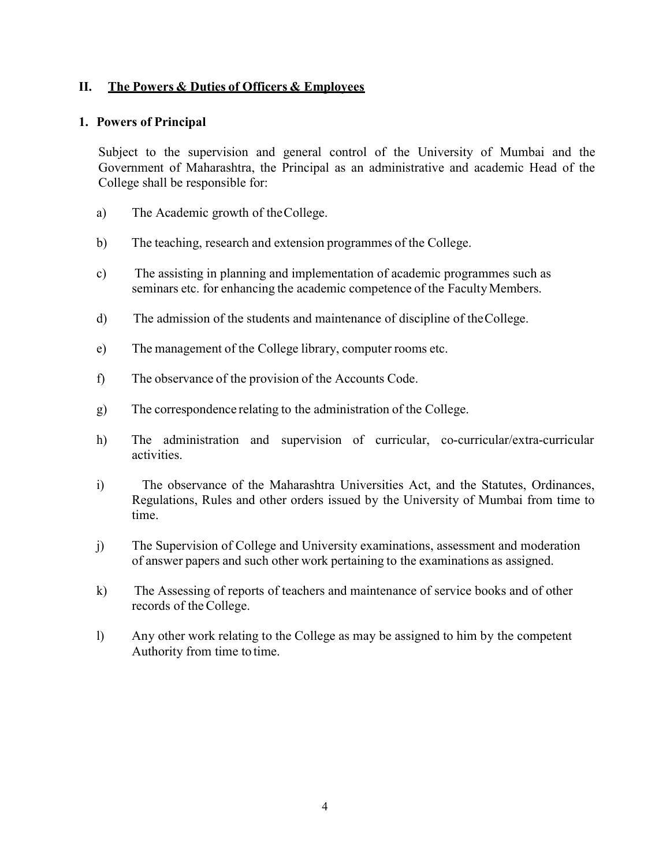### II. The Powers & Duties of Officers & Employees

#### 1. Powers of Principal

Subject to the supervision and general control of the University of Mumbai and the Government of Maharashtra, the Principal as an administrative and academic Head of the College shall be responsible for:

- a) The Academic growth of the College.
- b) The teaching, research and extension programmes of the College.
- c) The assisting in planning and implementation of academic programmes such as seminars etc. for enhancing the academic competence of the Faculty Members.
- d) The admission of the students and maintenance of discipline of the College.
- e) The management of the College library, computer rooms etc.
- f) The observance of the provision of the Accounts Code.
- g) The correspondence relating to the administration of the College.
- h) The administration and supervision of curricular, co-curricular/extra-curricular activities.
- i) The observance of the Maharashtra Universities Act, and the Statutes, Ordinances, Regulations, Rules and other orders issued by the University of Mumbai from time to time.
- j) The Supervision of College and University examinations, assessment and moderation of answer papers and such other work pertaining to the examinations as assigned.
- k) The Assessing of reports of teachers and maintenance of service books and of other records of the College.
- l) Any other work relating to the College as may be assigned to him by the competent Authority from time to time.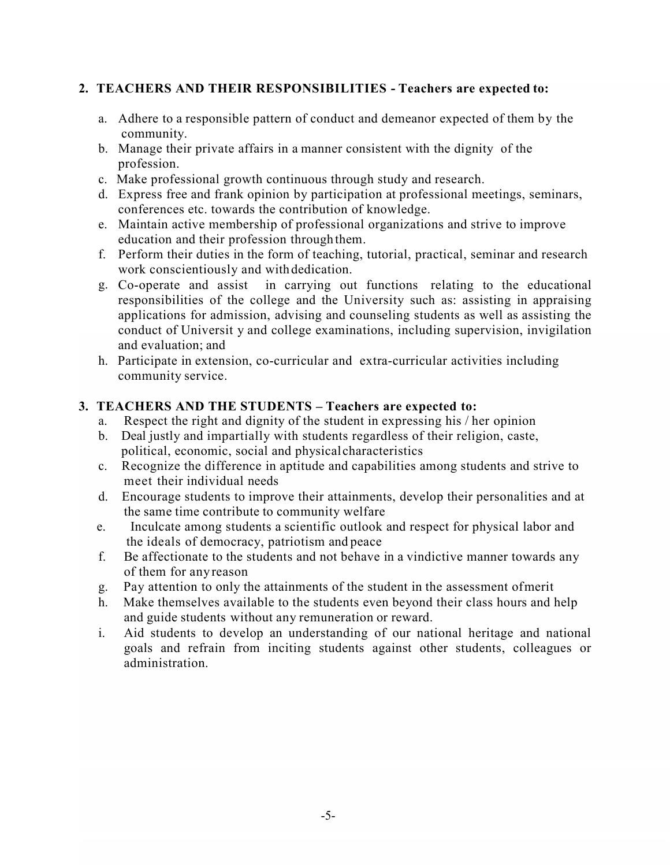## 2. TEACHERS AND THEIR RESPONSIBILITIES - Teachers are expected to:

- a. Adhere to a responsible pattern of conduct and demeanor expected of them by the community.
- b. Manage their private affairs in a manner consistent with the dignity of the profession.
- c. Make professional growth continuous through study and research.
- d. Express free and frank opinion by participation at professional meetings, seminars, conferences etc. towards the contribution of knowledge.
- e. Maintain active membership of professional organizations and strive to improve education and their profession through them.
- f. Perform their duties in the form of teaching, tutorial, practical, seminar and research work conscientiously and with dedication.
- g. Co-operate and assist in carrying out functions relating to the educational responsibilities of the college and the University such as: assisting in appraising applications for admission, advising and counseling students as well as assisting the conduct of Universit y and college examinations, including supervision, invigilation and evaluation; and
- h. Participate in extension, co-curricular and extra-curricular activities including community service.

## 3. TEACHERS AND THE STUDENTS – Teachers are expected to:

- a. Respect the right and dignity of the student in expressing his / her opinion
- b. Deal justly and impartially with students regardless of their religion, caste, political, economic, social and physical characteristics
- c. Recognize the difference in aptitude and capabilities among students and strive to meet their individual needs
- d. Encourage students to improve their attainments, develop their personalities and at the same time contribute to community welfare
- e. Inculcate among students a scientific outlook and respect for physical labor and the ideals of democracy, patriotism and peace
- f. Be affectionate to the students and not behave in a vindictive manner towards any of them for any reason
- g. Pay attention to only the attainments of the student in the assessment of merit
- h. Make themselves available to the students even beyond their class hours and help and guide students without any remuneration or reward.
- i. Aid students to develop an understanding of our national heritage and national goals and refrain from inciting students against other students, colleagues or administration.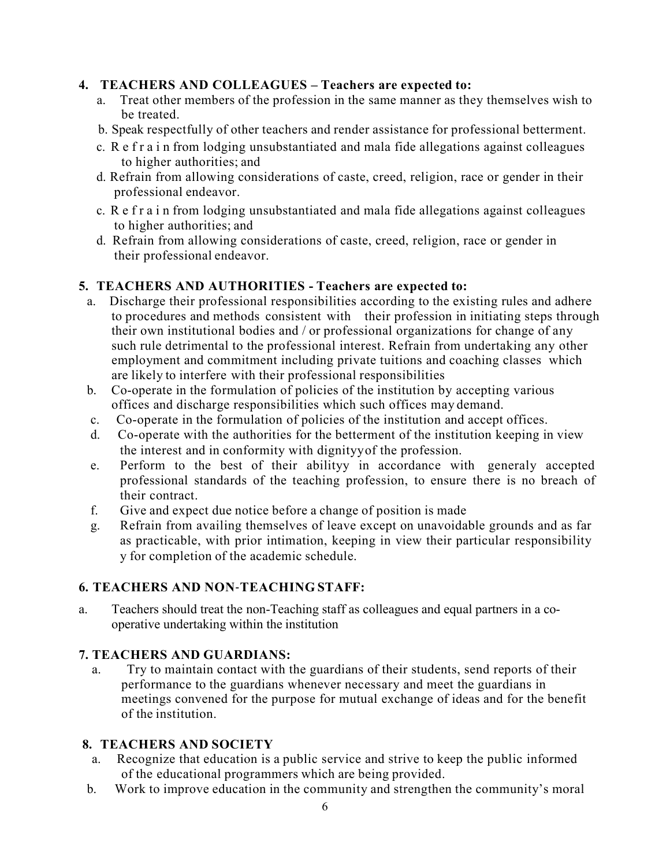## 4. TEACHERS AND COLLEAGUES – Teachers are expected to:

- a. Treat other members of the profession in the same manner as they themselves wish to be treated.
- b. Speak respectfully of other teachers and render assistance for professional betterment.
- c. R e f r a i n from lodging unsubstantiated and mala fide allegations against colleagues to higher authorities; and
- d. Refrain from allowing considerations of caste, creed, religion, race or gender in their professional endeavor.
- c. R e f r a i n from lodging unsubstantiated and mala fide allegations against colleagues to higher authorities; and
- d. Refrain from allowing considerations of caste, creed, religion, race or gender in their professional endeavor.

# 5. TEACHERS AND AUTHORITIES - Teachers are expected to:

- a. Discharge their professional responsibilities according to the existing rules and adhere to procedures and methods consistent with their profession in initiating steps through their own institutional bodies and / or professional organizations for change of any such rule detrimental to the professional interest. Refrain from undertaking any other employment and commitment including private tuitions and coaching classes which are likely to interfere with their professional responsibilities
- b. Co-operate in the formulation of policies of the institution by accepting various offices and discharge responsibilities which such offices may demand.
- c. Co-operate in the formulation of policies of the institution and accept offices.
- d. Co-operate with the authorities for the betterment of the institution keeping in view the interest and in conformity with dignityy of the profession.
- e. Perform to the best of their abilityy in accordance with generaly accepted professional standards of the teaching profession, to ensure there is no breach of their contract.
- f. Give and expect due notice before a change of position is made
- g. Refrain from availing themselves of leave except on unavoidable grounds and as far as practicable, with prior intimation, keeping in view their particular responsibility y for completion of the academic schedule.

# 6. TEACHERS AND NON‐TEACHING STAFF:

a. Teachers should treat the non-Teaching staff as colleagues and equal partners in a cooperative undertaking within the institution

# 7. TEACHERS AND GUARDIANS:

a. Try to maintain contact with the guardians of their students, send reports of their performance to the guardians whenever necessary and meet the guardians in meetings convened for the purpose for mutual exchange of ideas and for the benefit of the institution.

## 8. TEACHERS AND SOCIETY

- a. Recognize that education is a public service and strive to keep the public informed of the educational programmers which are being provided.
- b. Work to improve education in the community and strengthen the community's moral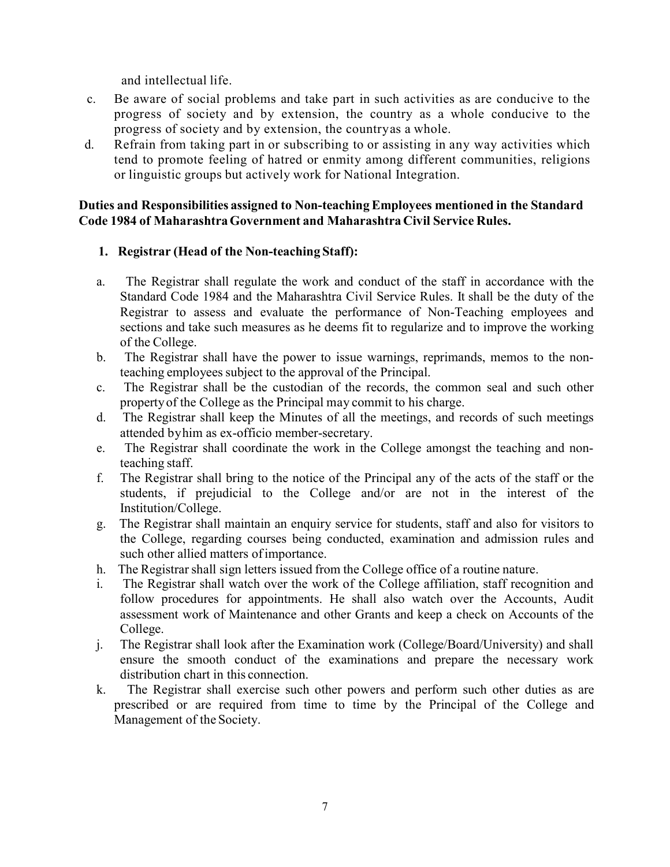and intellectual life.

- c. Be aware of social problems and take part in such activities as are conducive to the progress of society and by extension, the country as a whole conducive to the progress of society and by extension, the country as a whole.
- d. Refrain from taking part in or subscribing to or assisting in any way activities which tend to promote feeling of hatred or enmity among different communities, religions or linguistic groups but actively work for National Integration.

#### Duties and Responsibilities assigned to Non-teaching Employees mentioned in the Standard Code 1984 of Maharashtra Government and Maharashtra Civil Service Rules.

### 1. Registrar (Head of the Non-teaching Staff):

- a. The Registrar shall regulate the work and conduct of the staff in accordance with the Standard Code 1984 and the Maharashtra Civil Service Rules. It shall be the duty of the Registrar to assess and evaluate the performance of Non-Teaching employees and sections and take such measures as he deems fit to regularize and to improve the working of the College.
- b. The Registrar shall have the power to issue warnings, reprimands, memos to the nonteaching employees subject to the approval of the Principal.
- c. The Registrar shall be the custodian of the records, the common seal and such other property of the College as the Principal may commit to his charge.
- d. The Registrar shall keep the Minutes of all the meetings, and records of such meetings attended by him as ex-officio member-secretary.
- e. The Registrar shall coordinate the work in the College amongst the teaching and nonteaching staff.
- f. The Registrar shall bring to the notice of the Principal any of the acts of the staff or the students, if prejudicial to the College and/or are not in the interest of the Institution/College.
- g. The Registrar shall maintain an enquiry service for students, staff and also for visitors to the College, regarding courses being conducted, examination and admission rules and such other allied matters of importance.
- h. The Registrar shall sign letters issued from the College office of a routine nature.
- i. The Registrar shall watch over the work of the College affiliation, staff recognition and follow procedures for appointments. He shall also watch over the Accounts, Audit assessment work of Maintenance and other Grants and keep a check on Accounts of the College.
- j. The Registrar shall look after the Examination work (College/Board/University) and shall ensure the smooth conduct of the examinations and prepare the necessary work distribution chart in this connection.
- k. The Registrar shall exercise such other powers and perform such other duties as are prescribed or are required from time to time by the Principal of the College and Management of the Society.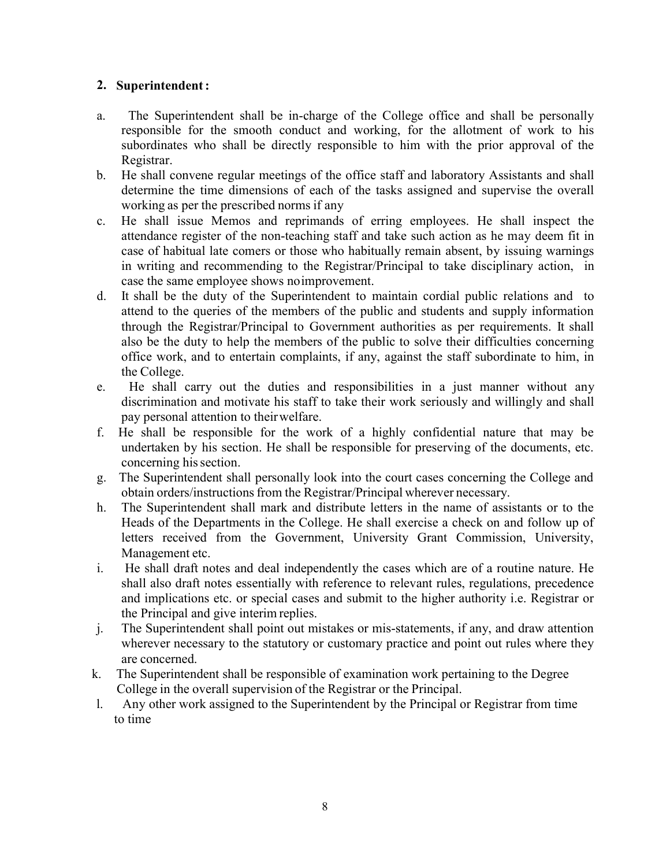### 2. Superintendent :

- a. The Superintendent shall be in-charge of the College office and shall be personally responsible for the smooth conduct and working, for the allotment of work to his subordinates who shall be directly responsible to him with the prior approval of the Registrar.
- b. He shall convene regular meetings of the office staff and laboratory Assistants and shall determine the time dimensions of each of the tasks assigned and supervise the overall working as per the prescribed norms if any
- c. He shall issue Memos and reprimands of erring employees. He shall inspect the attendance register of the non-teaching staff and take such action as he may deem fit in case of habitual late comers or those who habitually remain absent, by issuing warnings in writing and recommending to the Registrar/Principal to take disciplinary action, in case the same employee shows no improvement.
- d. It shall be the duty of the Superintendent to maintain cordial public relations and to attend to the queries of the members of the public and students and supply information through the Registrar/Principal to Government authorities as per requirements. It shall also be the duty to help the members of the public to solve their difficulties concerning office work, and to entertain complaints, if any, against the staff subordinate to him, in the College.
- e. He shall carry out the duties and responsibilities in a just manner without any discrimination and motivate his staff to take their work seriously and willingly and shall pay personal attention to their welfare.
- f. He shall be responsible for the work of a highly confidential nature that may be undertaken by his section. He shall be responsible for preserving of the documents, etc. concerning his section.
- g. The Superintendent shall personally look into the court cases concerning the College and obtain orders/instructions from the Registrar/Principal wherever necessary.
- h. The Superintendent shall mark and distribute letters in the name of assistants or to the Heads of the Departments in the College. He shall exercise a check on and follow up of letters received from the Government, University Grant Commission, University, Management etc.
- i. He shall draft notes and deal independently the cases which are of a routine nature. He shall also draft notes essentially with reference to relevant rules, regulations, precedence and implications etc. or special cases and submit to the higher authority i.e. Registrar or the Principal and give interim replies.
- j. The Superintendent shall point out mistakes or mis-statements, if any, and draw attention wherever necessary to the statutory or customary practice and point out rules where they are concerned.
- k. The Superintendent shall be responsible of examination work pertaining to the Degree College in the overall supervision of the Registrar or the Principal.
- l. Any other work assigned to the Superintendent by the Principal or Registrar from time to time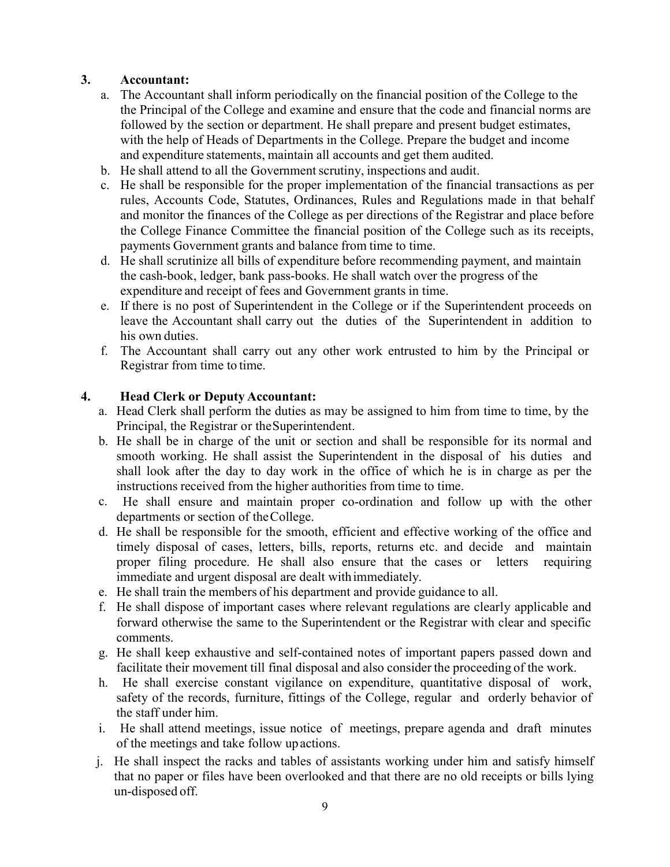## 3. Accountant:

- a. The Accountant shall inform periodically on the financial position of the College to the the Principal of the College and examine and ensure that the code and financial norms are followed by the section or department. He shall prepare and present budget estimates, with the help of Heads of Departments in the College. Prepare the budget and income and expenditure statements, maintain all accounts and get them audited.
- b. He shall attend to all the Government scrutiny, inspections and audit.
- c. He shall be responsible for the proper implementation of the financial transactions as per rules, Accounts Code, Statutes, Ordinances, Rules and Regulations made in that behalf and monitor the finances of the College as per directions of the Registrar and place before the College Finance Committee the financial position of the College such as its receipts, payments Government grants and balance from time to time.
- d. He shall scrutinize all bills of expenditure before recommending payment, and maintain the cash-book, ledger, bank pass-books. He shall watch over the progress of the expenditure and receipt of fees and Government grants in time.
- e. If there is no post of Superintendent in the College or if the Superintendent proceeds on leave the Accountant shall carry out the duties of the Superintendent in addition to his own duties.
- f. The Accountant shall carry out any other work entrusted to him by the Principal or Registrar from time to time.

## 4. Head Clerk or Deputy Accountant:

- a. Head Clerk shall perform the duties as may be assigned to him from time to time, by the Principal, the Registrar or the Superintendent.
- b. He shall be in charge of the unit or section and shall be responsible for its normal and smooth working. He shall assist the Superintendent in the disposal of his duties and shall look after the day to day work in the office of which he is in charge as per the instructions received from the higher authorities from time to time.
- c. He shall ensure and maintain proper co-ordination and follow up with the other departments or section of the College.
- d. He shall be responsible for the smooth, efficient and effective working of the office and timely disposal of cases, letters, bills, reports, returns etc. and decide and maintain proper filing procedure. He shall also ensure that the cases or letters requiring immediate and urgent disposal are dealt with immediately.
- e. He shall train the members of his department and provide guidance to all.
- f. He shall dispose of important cases where relevant regulations are clearly applicable and forward otherwise the same to the Superintendent or the Registrar with clear and specific comments.
- g. He shall keep exhaustive and self-contained notes of important papers passed down and facilitate their movement till final disposal and also consider the proceeding of the work.
- h. He shall exercise constant vigilance on expenditure, quantitative disposal of work, safety of the records, furniture, fittings of the College, regular and orderly behavior of the staff under him.
- i. He shall attend meetings, issue notice of meetings, prepare agenda and draft minutes of the meetings and take follow up actions.
- j. He shall inspect the racks and tables of assistants working under him and satisfy himself that no paper or files have been overlooked and that there are no old receipts or bills lying un-disposed off.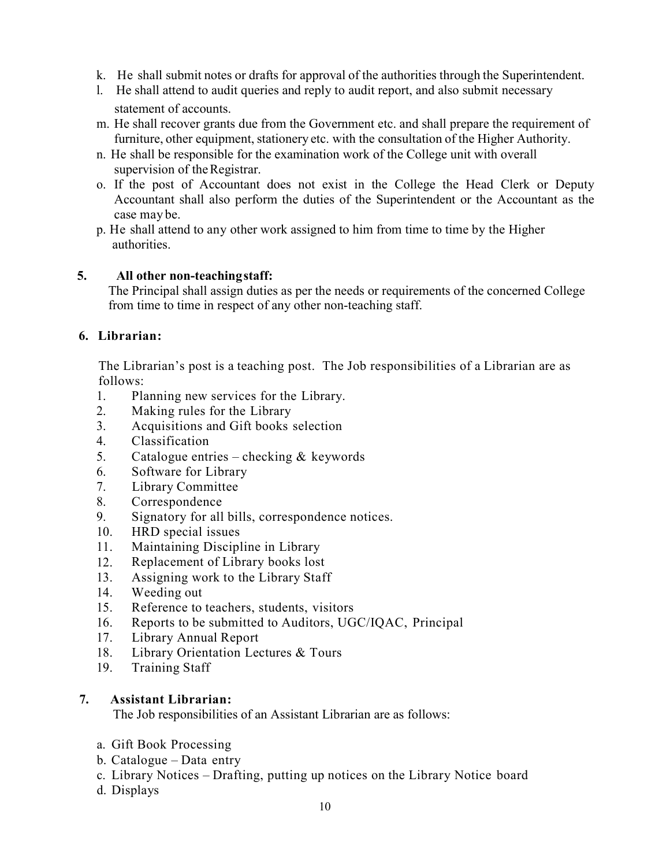- k. He shall submit notes or drafts for approval of the authorities through the Superintendent.
- l. He shall attend to audit queries and reply to audit report, and also submit necessary statement of accounts.
- m. He shall recover grants due from the Government etc. and shall prepare the requirement of furniture, other equipment, stationery etc. with the consultation of the Higher Authority.
- n. He shall be responsible for the examination work of the College unit with overall supervision of the Registrar.
- o. If the post of Accountant does not exist in the College the Head Clerk or Deputy Accountant shall also perform the duties of the Superintendent or the Accountant as the case may be.
- p. He shall attend to any other work assigned to him from time to time by the Higher authorities.

### 5. All other non-teaching staff:

The Principal shall assign duties as per the needs or requirements of the concerned College from time to time in respect of any other non-teaching staff.

### 6. Librarian:

The Librarian's post is a teaching post. The Job responsibilities of a Librarian are as follows:

- 1. Planning new services for the Library.
- 2. Making rules for the Library
- 3. Acquisitions and Gift books selection
- 4. Classification
- 5. Catalogue entries checking & keywords
- 6. Software for Library
- 7. Library Committee
- 8. Correspondence
- 9. Signatory for all bills, correspondence notices.
- 10. HRD special issues
- 11. Maintaining Discipline in Library
- 12. Replacement of Library books lost
- 13. Assigning work to the Library Staff
- 14. Weeding out
- 15. Reference to teachers, students, visitors
- 16. Reports to be submitted to Auditors, UGC/IQAC, Principal
- 17. Library Annual Report
- 18. Library Orientation Lectures & Tours
- 19. Training Staff

### 7. Assistant Librarian:

The Job responsibilities of an Assistant Librarian are as follows:

- a. Gift Book Processing
- b. Catalogue Data entry
- c. Library Notices Drafting, putting up notices on the Library Notice board
- d. Displays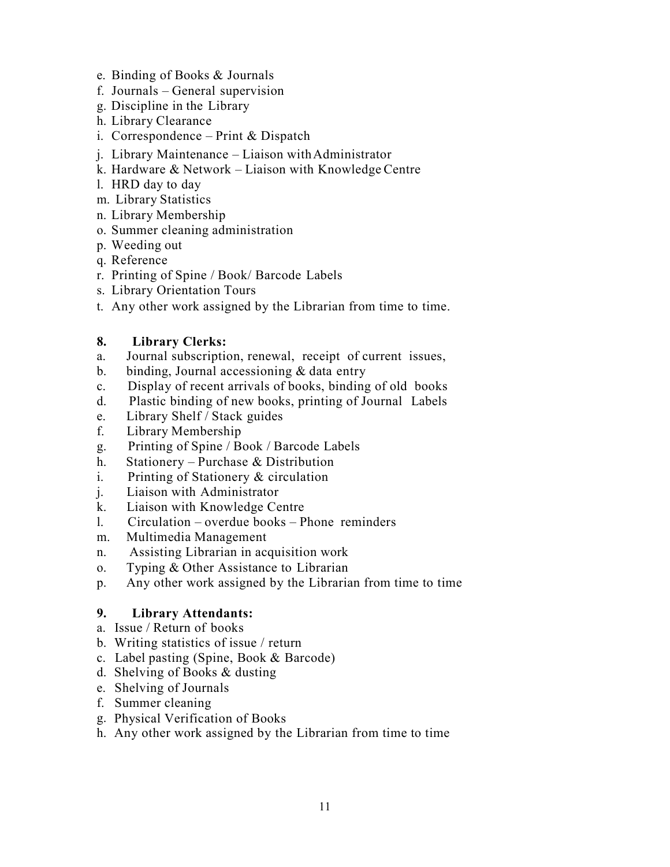- e. Binding of Books & Journals
- f. Journals General supervision
- g. Discipline in the Library
- h. Library Clearance
- i. Correspondence Print & Dispatch
- j. Library Maintenance Liaison with Administrator
- k. Hardware & Network Liaison with Knowledge Centre
- l. HRD day to day
- m. Library Statistics
- n. Library Membership
- o. Summer cleaning administration
- p. Weeding out
- q. Reference
- r. Printing of Spine / Book/ Barcode Labels
- s. Library Orientation Tours
- t. Any other work assigned by the Librarian from time to time.

## 8. Library Clerks:

- a. Journal subscription, renewal, receipt of current issues,
- b. binding, Journal accessioning & data entry
- c. Display of recent arrivals of books, binding of old books
- d. Plastic binding of new books, printing of Journal Labels
- e. Library Shelf / Stack guides
- f. Library Membership
- g. Printing of Spine / Book / Barcode Labels
- h. Stationery Purchase & Distribution
- i. Printing of Stationery & circulation
- j. Liaison with Administrator
- k. Liaison with Knowledge Centre
- l. Circulation overdue books Phone reminders
- m. Multimedia Management
- n. Assisting Librarian in acquisition work
- o. Typing & Other Assistance to Librarian
- p. Any other work assigned by the Librarian from time to time

# 9. Library Attendants:

- a. Issue / Return of books
- b. Writing statistics of issue / return
- c. Label pasting (Spine, Book & Barcode)
- d. Shelving of Books & dusting
- e. Shelving of Journals
- f. Summer cleaning
- g. Physical Verification of Books
- h. Any other work assigned by the Librarian from time to time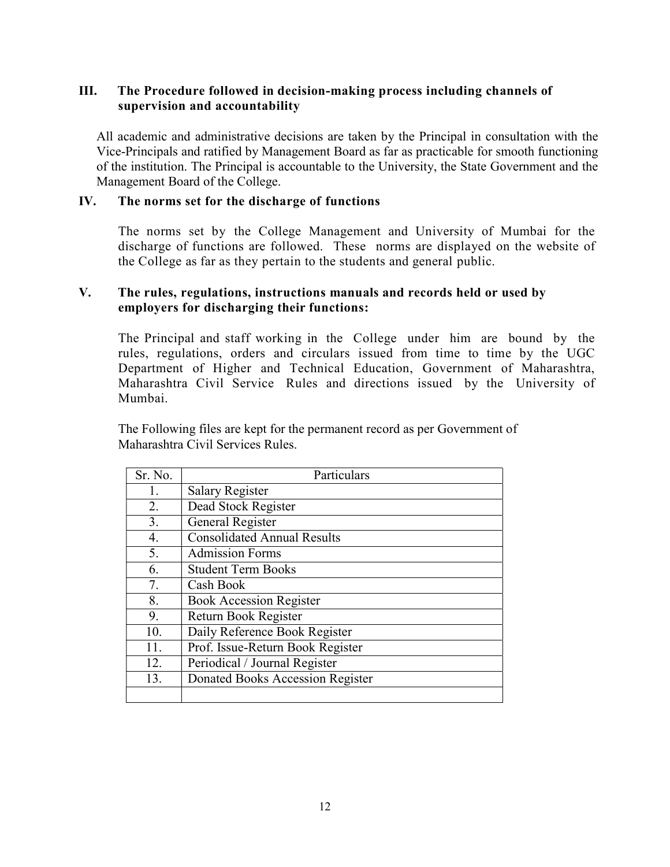## III. The Procedure followed in decision-making process including channels of supervision and accountability

All academic and administrative decisions are taken by the Principal in consultation with the Vice-Principals and ratified by Management Board as far as practicable for smooth functioning of the institution. The Principal is accountable to the University, the State Government and the Management Board of the College.

### IV. The norms set for the discharge of functions

The norms set by the College Management and University of Mumbai for the discharge of functions are followed. These norms are displayed on the website of the College as far as they pertain to the students and general public.

#### V. The rules, regulations, instructions manuals and records held or used by employers for discharging their functions:

The Principal and staff working in the College under him are bound by the rules, regulations, orders and circulars issued from time to time by the UGC Department of Higher and Technical Education, Government of Maharashtra, Maharashtra Civil Service Rules and directions issued by the University of Mumbai.

The Following files are kept for the permanent record as per Government of Maharashtra Civil Services Rules.

| Sr. No. | Particulars                        |
|---------|------------------------------------|
| 1.      | <b>Salary Register</b>             |
| 2.      | Dead Stock Register                |
| 3.      | General Register                   |
| 4.      | <b>Consolidated Annual Results</b> |
| 5.      | <b>Admission Forms</b>             |
| 6.      | <b>Student Term Books</b>          |
| 7.      | Cash Book                          |
| 8.      | <b>Book Accession Register</b>     |
| 9.      | Return Book Register               |
| 10.     | Daily Reference Book Register      |
| 11.     | Prof. Issue-Return Book Register   |
| 12.     | Periodical / Journal Register      |
| 13.     | Donated Books Accession Register   |
|         |                                    |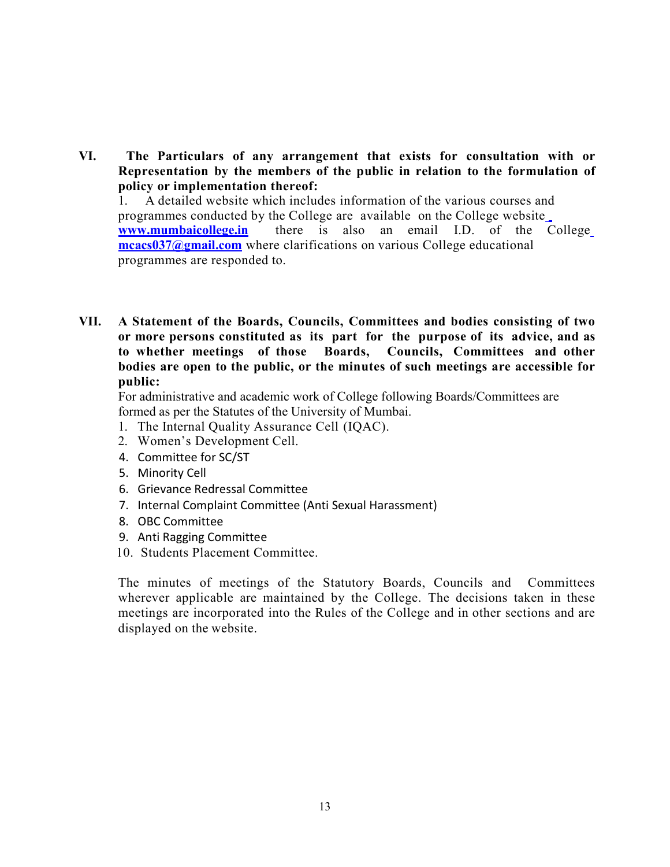VI. The Particulars of any arrangement that exists for consultation with or Representation by the members of the public in relation to the formulation of policy or implementation thereof:

1. A detailed website which includes information of the various courses and programmes conducted by the College are available on the College website www.mumbaicollege.in there is also an email I.D. of the College mcacs037@gmail.com where clarifications on various College educational programmes are responded to.

VII. A Statement of the Boards, Councils, Committees and bodies consisting of two or more persons constituted as its part for the purpose of its advice, and as to whether meetings of those Boards, Councils, Committees and other bodies are open to the public, or the minutes of such meetings are accessible for public:

For administrative and academic work of College following Boards/Committees are formed as per the Statutes of the University of Mumbai.

- 1. The Internal Quality Assurance Cell (IQAC).
- 2. Women's Development Cell.
- 4. Committee for SC/ST
- 5. Minority Cell
- 6. Grievance Redressal Committee
- 7. Internal Complaint Committee (Anti Sexual Harassment)
- 8. OBC Committee
- 9. Anti Ragging Committee
- 10. Students Placement Committee.

The minutes of meetings of the Statutory Boards, Councils and Committees wherever applicable are maintained by the College. The decisions taken in these meetings are incorporated into the Rules of the College and in other sections and are displayed on the website.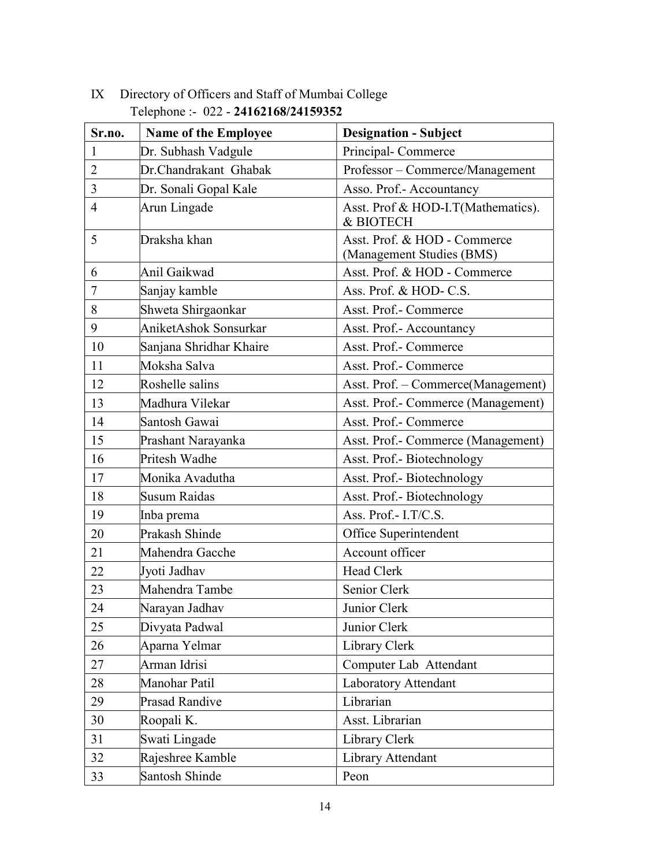| Sr.no.         | <b>Name of the Employee</b> | <b>Designation - Subject</b>                              |
|----------------|-----------------------------|-----------------------------------------------------------|
| $\mathbf{1}$   | Dr. Subhash Vadgule         | Principal-Commerce                                        |
| $\overline{2}$ | Dr.Chandrakant Ghabak       | Professor - Commerce/Management                           |
| 3              | Dr. Sonali Gopal Kale       | Asso. Prof.- Accountancy                                  |
| 4              | Arun Lingade                | Asst. Prof & HOD-I.T(Mathematics).<br>& BIOTECH           |
| 5              | Draksha khan                | Asst. Prof. & HOD - Commerce<br>(Management Studies (BMS) |
| 6              | Anil Gaikwad                | Asst. Prof. & HOD - Commerce                              |
| 7              | Sanjay kamble               | Ass. Prof. & HOD-C.S.                                     |
| 8              | Shweta Shirgaonkar          | Asst. Prof.- Commerce                                     |
| 9              | AniketAshok Sonsurkar       | Asst. Prof.- Accountancy                                  |
| 10             | Sanjana Shridhar Khaire     | Asst. Prof.- Commerce                                     |
| 11             | Moksha Salva                | Asst. Prof.- Commerce                                     |
| 12             | Roshelle salins             | Asst. Prof. - Commerce(Management)                        |
| 13             | Madhura Vilekar             | Asst. Prof.- Commerce (Management)                        |
| 14             | Santosh Gawai               | Asst. Prof.- Commerce                                     |
| 15             | Prashant Narayanka          | Asst. Prof.- Commerce (Management)                        |
| 16             | Pritesh Wadhe               | Asst. Prof.- Biotechnology                                |
| 17             | Monika Avadutha             | Asst. Prof.- Biotechnology                                |
| 18             | Susum Raidas                | Asst. Prof.- Biotechnology                                |
| 19             | Inba prema                  | Ass. Prof.- I.T/C.S.                                      |
| 20             | Prakash Shinde              | Office Superintendent                                     |
| 21             | Mahendra Gacche             | Account officer                                           |
| 22             | Jyoti Jadhav                | Head Clerk                                                |
| 23             | Mahendra Tambe              | Senior Clerk                                              |
| 24             | Narayan Jadhav              | Junior Clerk                                              |
| 25             | Divyata Padwal              | Junior Clerk                                              |
| 26             | Aparna Yelmar               | Library Clerk                                             |
| 27             | Arman Idrisi                | Computer Lab Attendant                                    |
| 28             | Manohar Patil               | Laboratory Attendant                                      |
| 29             | <b>Prasad Randive</b>       | Librarian                                                 |
| 30             | Roopali K.                  | Asst. Librarian                                           |
| 31             | Swati Lingade               | Library Clerk                                             |
| 32             | Rajeshree Kamble            | Library Attendant                                         |
| 33             | Santosh Shinde              | Peon                                                      |

# IX Directory of Officers and Staff of Mumbai College Telephone :- 022 - 24162168/24159352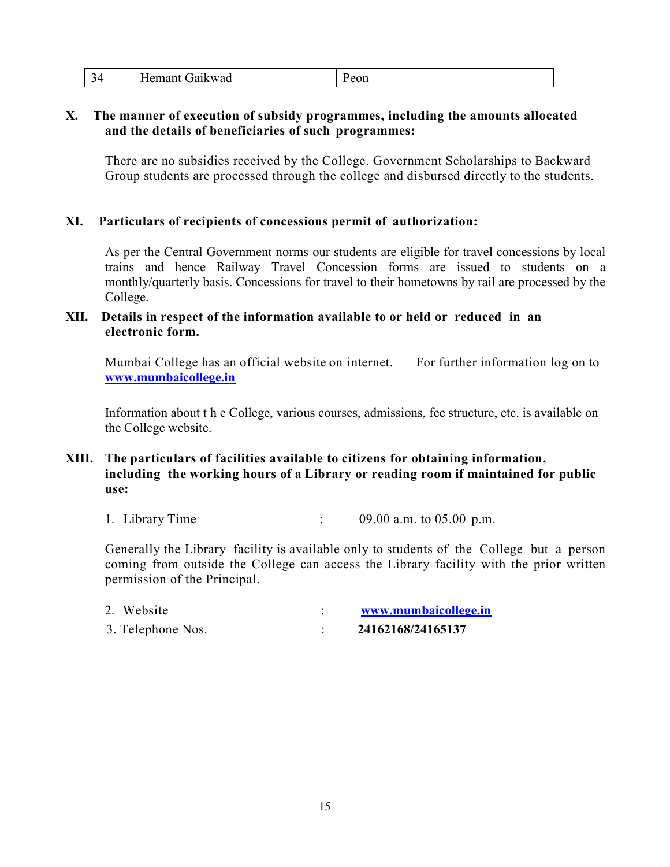| -<br>$\Delta$<br>~ | F<br>'Jaikwad<br>. lemant | $\cup$ ui<br>$- - -$ |
|--------------------|---------------------------|----------------------|
|--------------------|---------------------------|----------------------|

#### X. The manner of execution of subsidy programmes, including the amounts allocated and the details of beneficiaries of such programmes:

There are no subsidies received by the College. Government Scholarships to Backward Group students are processed through the college and disbursed directly to the students.

#### XI. Particulars of recipients of concessions permit of authorization:

As per the Central Government norms our students are eligible for travel concessions by local trains and hence Railway Travel Concession forms are issued to students on a monthly/quarterly basis. Concessions for travel to their hometowns by rail are processed by the College.

#### XII. Details in respect of the information available to or held or reduced in an electronic form.

Mumbai College has an official website on internet. For further information log on to www.mumbaicollege.in

Information about t h e College, various courses, admissions, fee structure, etc. is available on the College website.

### XIII. The particulars of facilities available to citizens for obtaining information, including the working hours of a Library or reading room if maintained for public use:

1. Library Time : 09.00 a.m. to 05.00 p.m.

Generally the Library facility is available only to students of the College but a person coming from outside the College can access the Library facility with the prior written permission of the Principal.

| 2. Website        | www.mumbaicollege.in |
|-------------------|----------------------|
| 3. Telephone Nos. | 24162168/24165137    |